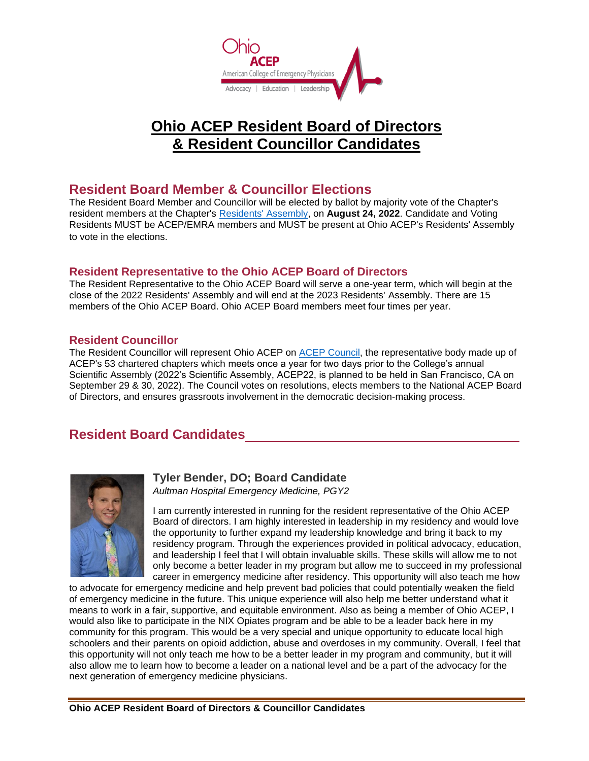

# **Ohio ACEP Resident Board of Directors & Resident Councillor Candidates**

## **Resident Board Member & Councillor Elections**

The Resident Board Member and Councillor will be elected by ballot by majority vote of the Chapter's resident members at the Chapter's [Residents' Assembly,](https://associationdatabase.com/aws/OACEP/pt/sp/conferences) on **August 24, 2022**. Candidate and Voting Residents MUST be ACEP/EMRA members and MUST be present at Ohio ACEP's Residents' Assembly to vote in the elections.

### **Resident Representative to the Ohio ACEP Board of Directors**

The Resident Representative to the Ohio ACEP Board will serve a one-year term, which will begin at the close of the 2022 Residents' Assembly and will end at the 2023 Residents' Assembly. There are 15 members of the Ohio ACEP Board. Ohio ACEP Board members meet four times per year.

### **Resident Councillor**

The Resident Councillor will represent Ohio ACEP on [ACEP Council,](https://www.acep.org/council) the representative body made up of ACEP's 53 chartered chapters which meets once a year for two days prior to the College's annual Scientific Assembly (2022's Scientific Assembly, ACEP22, is planned to be held in San Francisco, CA on September 29 & 30, 2022). The Council votes on resolutions, elects members to the National ACEP Board of Directors, and ensures grassroots involvement in the democratic decision-making process.

# **Resident Board Candidates**



## **Tyler Bender, DO; Board Candidate**

*Aultman Hospital Emergency Medicine, PGY2*

I am currently interested in running for the resident representative of the Ohio ACEP Board of directors. I am highly interested in leadership in my residency and would love the opportunity to further expand my leadership knowledge and bring it back to my residency program. Through the experiences provided in political advocacy, education, and leadership I feel that I will obtain invaluable skills. These skills will allow me to not only become a better leader in my program but allow me to succeed in my professional career in emergency medicine after residency. This opportunity will also teach me how

to advocate for emergency medicine and help prevent bad policies that could potentially weaken the field of emergency medicine in the future. This unique experience will also help me better understand what it means to work in a fair, supportive, and equitable environment. Also as being a member of Ohio ACEP, I would also like to participate in the NIX Opiates program and be able to be a leader back here in my community for this program. This would be a very special and unique opportunity to educate local high schoolers and their parents on opioid addiction, abuse and overdoses in my community. Overall, I feel that this opportunity will not only teach me how to be a better leader in my program and community, but it will also allow me to learn how to become a leader on a national level and be a part of the advocacy for the next generation of emergency medicine physicians.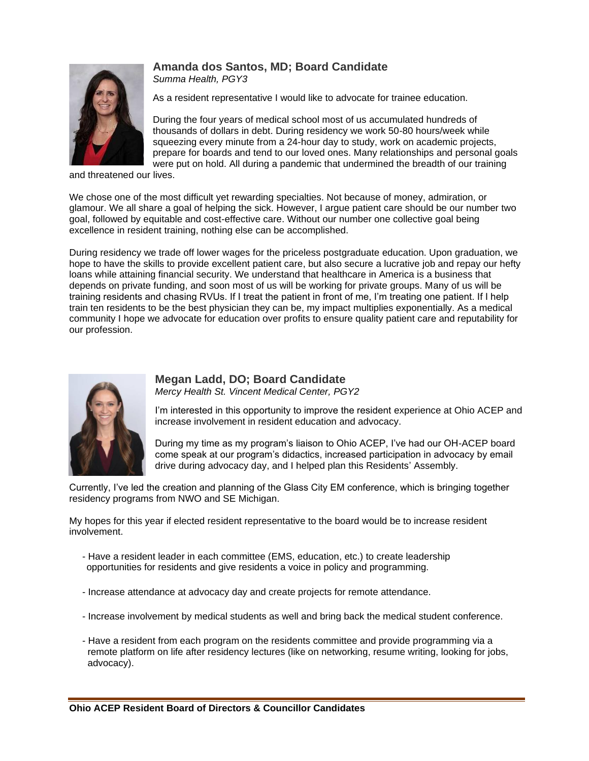# **Amanda dos Santos, MD; Board Candidate**



*Summa Health, PGY3*

As a resident representative I would like to advocate for trainee education.

During the four years of medical school most of us accumulated hundreds of thousands of dollars in debt. During residency we work 50-80 hours/week while squeezing every minute from a 24-hour day to study, work on academic projects, prepare for boards and tend to our loved ones. Many relationships and personal goals were put on hold. All during a pandemic that undermined the breadth of our training

and threatened our lives.

We chose one of the most difficult yet rewarding specialties. Not because of money, admiration, or glamour. We all share a goal of helping the sick. However, I argue patient care should be our number two goal, followed by equitable and cost-effective care. Without our number one collective goal being excellence in resident training, nothing else can be accomplished.

During residency we trade off lower wages for the priceless postgraduate education. Upon graduation, we hope to have the skills to provide excellent patient care, but also secure a lucrative job and repay our hefty loans while attaining financial security. We understand that healthcare in America is a business that depends on private funding, and soon most of us will be working for private groups. Many of us will be training residents and chasing RVUs. If I treat the patient in front of me, I'm treating one patient. If I help train ten residents to be the best physician they can be, my impact multiplies exponentially. As a medical community I hope we advocate for education over profits to ensure quality patient care and reputability for our profession.



## **Megan Ladd, DO; Board Candidate**

*Mercy Health St. Vincent Medical Center, PGY2*

I'm interested in this opportunity to improve the resident experience at Ohio ACEP and increase involvement in resident education and advocacy.

During my time as my program's liaison to Ohio ACEP, I've had our OH-ACEP board come speak at our program's didactics, increased participation in advocacy by email drive during advocacy day, and I helped plan this Residents' Assembly.

Currently, I've led the creation and planning of the Glass City EM conference, which is bringing together residency programs from NWO and SE Michigan.

My hopes for this year if elected resident representative to the board would be to increase resident involvement.

- Have a resident leader in each committee (EMS, education, etc.) to create leadership opportunities for residents and give residents a voice in policy and programming.
- Increase attendance at advocacy day and create projects for remote attendance.
- Increase involvement by medical students as well and bring back the medical student conference.
- Have a resident from each program on the residents committee and provide programming via a remote platform on life after residency lectures (like on networking, resume writing, looking for jobs, advocacy).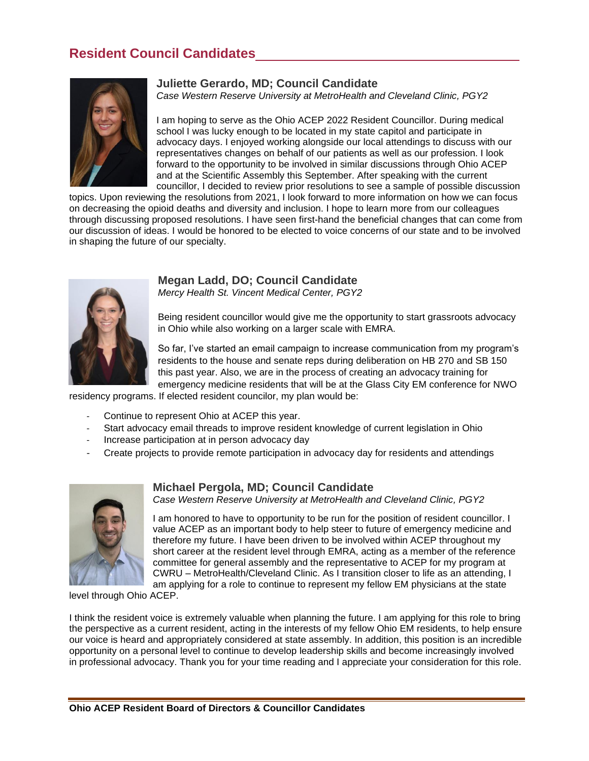# **Resident Council Candidates**



#### **Juliette Gerardo, MD; Council Candidate**

*Case Western Reserve University at MetroHealth and Cleveland Clinic, PGY2*

I am hoping to serve as the Ohio ACEP 2022 Resident Councillor. During medical school I was lucky enough to be located in my state capitol and participate in advocacy days. I enjoyed working alongside our local attendings to discuss with our representatives changes on behalf of our patients as well as our profession. I look forward to the opportunity to be involved in similar discussions through Ohio ACEP and at the Scientific Assembly this September. After speaking with the current councillor, I decided to review prior resolutions to see a sample of possible discussion

topics. Upon reviewing the resolutions from 2021, I look forward to more information on how we can focus on decreasing the opioid deaths and diversity and inclusion. I hope to learn more from our colleagues through discussing proposed resolutions. I have seen first-hand the beneficial changes that can come from our discussion of ideas. I would be honored to be elected to voice concerns of our state and to be involved in shaping the future of our specialty.



## **Megan Ladd, DO; Council Candidate**

*Mercy Health St. Vincent Medical Center, PGY2*

Being resident councillor would give me the opportunity to start grassroots advocacy in Ohio while also working on a larger scale with EMRA.

So far, I've started an email campaign to increase communication from my program's residents to the house and senate reps during deliberation on HB 270 and SB 150 this past year. Also, we are in the process of creating an advocacy training for emergency medicine residents that will be at the Glass City EM conference for NWO

residency programs. If elected resident councilor, my plan would be:

- Continue to represent Ohio at ACEP this year.
- Start advocacy email threads to improve resident knowledge of current legislation in Ohio
- Increase participation at in person advocacy day
- Create projects to provide remote participation in advocacy day for residents and attendings



#### **Michael Pergola, MD; Council Candidate**

*Case Western Reserve University at MetroHealth and Cleveland Clinic, PGY2*

I am honored to have to opportunity to be run for the position of resident councillor. I value ACEP as an important body to help steer to future of emergency medicine and therefore my future. I have been driven to be involved within ACEP throughout my short career at the resident level through EMRA, acting as a member of the reference committee for general assembly and the representative to ACEP for my program at CWRU – MetroHealth/Cleveland Clinic. As I transition closer to life as an attending, I am applying for a role to continue to represent my fellow EM physicians at the state

level through Ohio ACEP.

I think the resident voice is extremely valuable when planning the future. I am applying for this role to bring the perspective as a current resident, acting in the interests of my fellow Ohio EM residents, to help ensure our voice is heard and appropriately considered at state assembly. In addition, this position is an incredible opportunity on a personal level to continue to develop leadership skills and become increasingly involved in professional advocacy. Thank you for your time reading and I appreciate your consideration for this role.